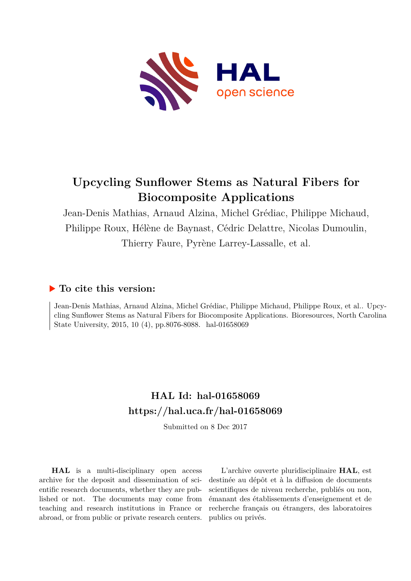

# **Upcycling Sunflower Stems as Natural Fibers for Biocomposite Applications**

Jean-Denis Mathias, Arnaud Alzina, Michel Grédiac, Philippe Michaud, Philippe Roux, Hélène de Baynast, Cédric Delattre, Nicolas Dumoulin, Thierry Faure, Pyrène Larrey-Lassalle, et al.

## **To cite this version:**

Jean-Denis Mathias, Arnaud Alzina, Michel Grédiac, Philippe Michaud, Philippe Roux, et al.. Upcycling Sunflower Stems as Natural Fibers for Biocomposite Applications. Bioresources, North Carolina State University, 2015, 10 (4), pp.8076-8088. hal-01658069

## **HAL Id: hal-01658069 <https://hal.uca.fr/hal-01658069>**

Submitted on 8 Dec 2017

**HAL** is a multi-disciplinary open access archive for the deposit and dissemination of scientific research documents, whether they are published or not. The documents may come from teaching and research institutions in France or abroad, or from public or private research centers.

L'archive ouverte pluridisciplinaire **HAL**, est destinée au dépôt et à la diffusion de documents scientifiques de niveau recherche, publiés ou non, émanant des établissements d'enseignement et de recherche français ou étrangers, des laboratoires publics ou privés.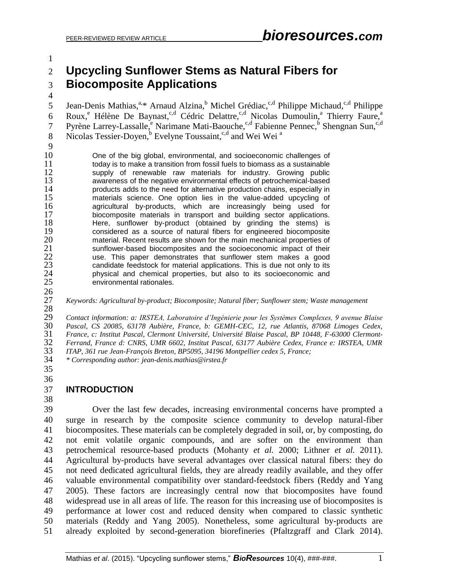## **Upcycling Sunflower Stems as Natural Fibers for Biocomposite Applications**

5 Jean-Denis Mathias,<sup>a,\*</sup> Arnaud Alzina,<sup>b</sup> Michel Grédiac,<sup>c,d</sup> Philippe Michaud,<sup>c,d</sup> Philippe Roux,<sup>e</sup> Hélène De Baynast,<sup>c,d</sup> Cédric Delattre,<sup>c,d</sup> Nicolas Dumoulin,<sup>a</sup> Thierry Faure,<sup>a</sup> 7 Pyrène Larrey-Lassalle, <sup>e</sup> Narimane Mati-Baouche, <sup>c,d</sup> Fabienne Pennec, <sup>b</sup> Shengnan Sun, <sup>c,d</sup> Nicolas Tessier-Doyen,<sup>b</sup> Evelyne Toussaint,<sup>c,d</sup> and Wei Wei<sup>a</sup> 

 One of the big global, environmental, and socioeconomic challenges of 11 today is to make a transition from fossil fuels to biomass as a sustainable<br>12 Supply of renewable raw materials for industry. Growing public 12 supply of renewable raw materials for industry. Growing public<br>13 awareness of the negative environmental effects of petrochemical-based 13 awareness of the negative environmental effects of petrochemical-based<br>14 products adds to the need for alternative production chains, especially in 14 products adds to the need for alternative production chains, especially in<br>15 materials science. One option lies in the value-added upcycling of 15 materials science. One option lies in the value-added upcycling of<br>16 agricultural by-products, which are increasingly being used for 16 agricultural by-products, which are increasingly being used for<br>17 biocomposite materials in transport and building sector applications. 17 biocomposite materials in transport and building sector applications.<br>18 There, sunflower by-product (obtained by grinding the stems) is 18 Here, sunflower by-product (obtained by grinding the stems) is considered as a source of natural fibers for engineered biocomposite **19** considered as a source of natural fibers for engineered biocomposite 20 material. Recent results are shown for the main mechanical properties of 20 material. Recent results are shown for the main mechanical properties of<br>21 sunflower-based biocomposites and the socioeconomic impact of their 21 sunflower-based biocomposites and the socioeconomic impact of their<br>22 sec. This paper demonstrates that sunflower stem makes a good 22 use. This paper demonstrates that sunflower stem makes a good candidate feedstock for material applications. This is due not only to its 23 candidate feedstock for material applications. This is due not only to its<br>24 physical and chemical properties, but also to its socioeconomic and 24 physical and chemical properties, but also to its socioeconomic and 25 environmental rationales.

*Keywords: Agricultural by-product; Biocomposite; Natural fiber; Sunflower stem; Waste management*

 *Contact information: a: IRSTEA, Laboratoire d'Ingénierie pour les Systèmes Complexes, 9 avenue Blaise Pascal, CS 20085, 63178 Aubière, France, b: GEMH-CEC, 12, rue Atlantis, 87068 Limoges Cedex, France, c: Institut Pascal, Clermont Université, Université Blaise Pascal, BP 10448, F-63000 Clermont- Ferrand, France d: CNRS, UMR 6602, Institut Pascal, 63177 Aubière Cedex, France e: IRSTEA, UMR ITAP, 361 rue Jean-François Breton, BP5095, 34196 Montpellier cedex 5, France;*

*\* Corresponding author: [jean-denis.mathias@irstea.fr](mailto:jean-denis.mathias@irstea.fr)*

 

 $\frac{26}{27}$ 

#### **INTRODUCTION**

 Over the last few decades, increasing environmental concerns have prompted a surge in research by the composite science community to develop natural-fiber biocomposites. These materials can be completely degraded in soil, or, by composting, do not emit volatile organic compounds, and are softer on the environment than petrochemical resource-based products (Mohanty *et al.* 2000; Lithner *et al.* 2011). Agricultural by-products have several advantages over classical natural fibers: they do not need dedicated agricultural fields, they are already readily available, and they offer valuable environmental compatibility over standard-feedstock fibers (Reddy and Yang 2005). These factors are increasingly central now that biocomposites have found widespread use in all areas of life. The reason for this increasing use of biocomposites is performance at lower cost and reduced density when compared to classic synthetic materials (Reddy and Yang 2005). Nonetheless, some agricultural by-products are already exploited by second-generation biorefineries (Pfaltzgraff and Clark 2014).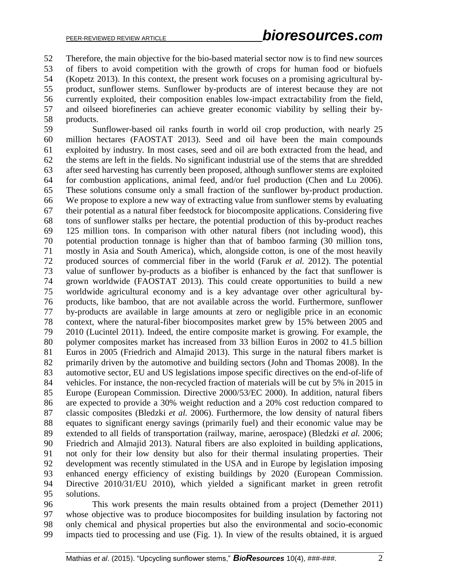Therefore, the main objective for the bio-based material sector now is to find new sources of fibers to avoid competition with the growth of crops for human food or biofuels (Kopetz 2013). In this context, the present work focuses on a promising agricultural by- product, sunflower stems. Sunflower by-products are of interest because they are not currently exploited, their composition enables low-impact extractability from the field, and oilseed biorefineries can achieve greater economic viability by selling their by-products.

 Sunflower-based oil ranks fourth in world oil crop production, with nearly 25 million hectares (FAOSTAT 2013). Seed and oil have been the main compounds exploited by industry. In most cases, seed and oil are both extracted from the head, and the stems are left in the fields. No significant industrial use of the stems that are shredded after seed harvesting has currently been proposed, although sunflower stems are exploited for combustion applications, animal feed, and/or fuel production (Chen and Lu 2006). These solutions consume only a small fraction of the sunflower by-product production. We propose to explore a new way of extracting value from sunflower stems by evaluating their potential as a natural fiber feedstock for biocomposite applications. Considering five tons of sunflower stalks per hectare, the potential production of this by-product reaches 125 million tons. In comparison with other natural fibers (not including wood), this potential production tonnage is higher than that of bamboo farming (30 million tons, mostly in Asia and South America), which, alongside cotton, is one of the most heavily produced sources of commercial fiber in the world (Faruk *et al.* 2012). The potential value of sunflower by-products as a biofiber is enhanced by the fact that sunflower is grown worldwide (FAOSTAT 2013). This could create opportunities to build a new worldwide agricultural economy and is a key advantage over other agricultural by- products, like bamboo, that are not available across the world. Furthermore, sunflower by-products are available in large amounts at zero or negligible price in an economic context, where the natural-fiber biocomposites market grew by 15% between 2005 and 2010 (Lucintel 2011). Indeed, the entire composite market is growing. For example, the polymer composites market has increased from 33 billion Euros in 2002 to 41.5 billion Euros in 2005 (Friedrich and Almajid 2013). This surge in the natural fibers market is primarily driven by the automotive and building sectors (John and Thomas 2008). In the automotive sector, EU and US legislations impose specific directives on the end-of-life of vehicles. For instance, the non-recycled fraction of materials will be cut by 5% in 2015 in Europe (European Commission. Directive 2000/53/EC 2000). In addition, natural fibers are expected to provide a 30% weight reduction and a 20% cost reduction compared to classic composites (Bledzki *et al.* 2006). Furthermore, the low density of natural fibers equates to significant energy savings (primarily fuel) and their economic value may be extended to all fields of transportation (railway, marine, aerospace) (Bledzki *et al.* 2006; Friedrich and Almajid 2013). Natural fibers are also exploited in building applications, not only for their low density but also for their thermal insulating properties. Their development was recently stimulated in the USA and in Europe by legislation imposing enhanced energy efficiency of existing buildings by 2020 (European Commission. Directive 2010/31/EU 2010), which yielded a significant market in green retrofit solutions.

 This work presents the main results obtained from a project (Demether 2011) whose objective was to produce biocomposites for building insulation by factoring not only chemical and physical properties but also the environmental and socio-economic impacts tied to processing and use (Fig. 1). In view of the results obtained, it is argued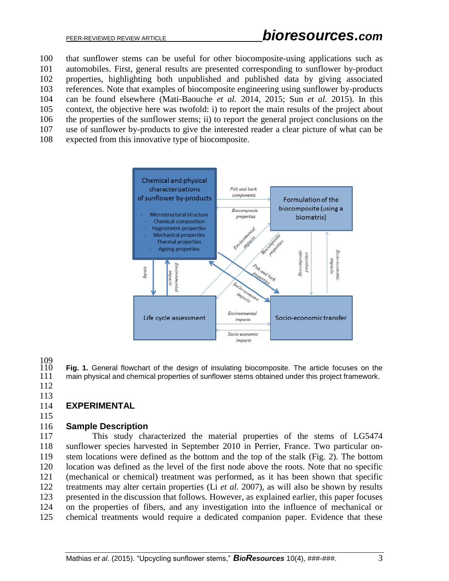that sunflower stems can be useful for other biocomposite-using applications such as automobiles. First, general results are presented corresponding to sunflower by-product properties, highlighting both unpublished and published data by giving associated references. Note that examples of biocomposite engineering using sunflower by-products can be found elsewhere (Mati-Baouche *et al.* 2014, 2015; Sun *et al.* 2015). In this context, the objective here was twofold: i) to report the main results of the project about the properties of the sunflower stems; ii) to report the general project conclusions on the use of sunflower by-products to give the interested reader a clear picture of what can be expected from this innovative type of biocomposite.



109<br>110

**Fig. 1.** General flowchart of the design of insulating biocomposite. The article focuses on the 111 main physical and chemical properties of sunflower stems obtained under this project framework. main physical and chemical properties of sunflower stems obtained under this project framework.

 

## **EXPERIMENTAL**

## **Sample Description**

 This study characterized the material properties of the stems of LG5474 sunflower species harvested in September 2010 in Perrier, France. Two particular on- stem locations were defined as the bottom and the top of the stalk (Fig. 2). The bottom location was defined as the level of the first node above the roots. Note that no specific (mechanical or chemical) treatment was performed, as it has been shown that specific treatments may alter certain properties (Li *et al.* 2007), as will also be shown by results presented in the discussion that follows. However, as explained earlier, this paper focuses on the properties of fibers, and any investigation into the influence of mechanical or chemical treatments would require a dedicated companion paper. Evidence that these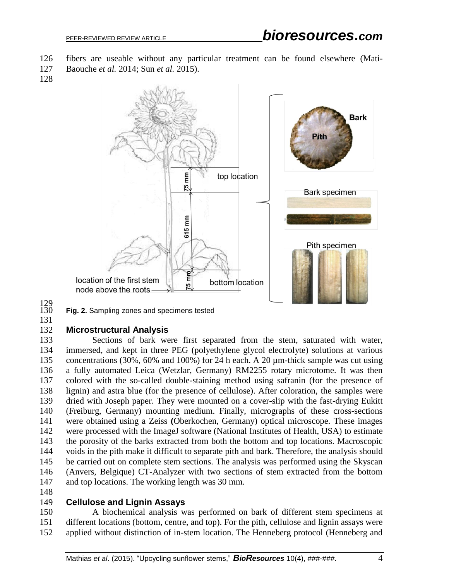- fibers are useable without any particular treatment can be found elsewhere (Mati-
- Baouche *et al.* 2014; Sun *et al.* 2015).
- 



129<br>130

Fig. 2. Sampling zones and specimens tested

#### **Microstructural Analysis**

 Sections of bark were first separated from the stem, saturated with water, immersed, and kept in three PEG (polyethylene glycol electrolyte) solutions at various concentrations (30%, 60% and 100%) for 24 h each. A 20 µm-thick sample was cut using a fully automated Leica (Wetzlar, Germany) RM2255 rotary microtome. It was then colored with the so-called double-staining method using safranin (for the presence of lignin) and astra blue (for the presence of cellulose). After coloration, the samples were dried with Joseph paper. They were mounted on a cover-slip with the fast-drying Eukitt (Freiburg, Germany) mounting medium. Finally, micrographs of these cross-sections were obtained using a Zeiss **(**Oberkochen, Germany) optical microscope. These images were processed with the ImageJ software (National Institutes of Health, USA) to estimate the porosity of the barks extracted from both the bottom and top locations. Macroscopic voids in the pith make it difficult to separate pith and bark. Therefore, the analysis should be carried out on complete stem sections. The analysis was performed using the Skyscan (Anvers, Belgique) CT-Analyzer with two sections of stem extracted from the bottom and top locations. The working length was 30 mm.

#### **Cellulose and Lignin Assays**

 A biochemical analysis was performed on bark of different stem specimens at different locations (bottom, centre, and top). For the pith, cellulose and lignin assays were applied without distinction of in-stem location. The Henneberg protocol (Henneberg and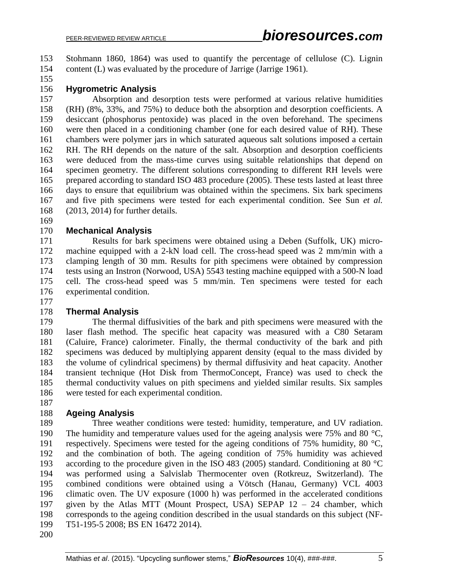Stohmann 1860, 1864) was used to quantify the percentage of cellulose (C). Lignin content (L) was evaluated by the procedure of Jarrige (Jarrige 1961).

#### **Hygrometric Analysis**

 Absorption and desorption tests were performed at various relative humidities (RH) (8%, 33%, and 75%) to deduce both the absorption and desorption coefficients. A desiccant (phosphorus pentoxide) was placed in the oven beforehand. The specimens were then placed in a conditioning chamber (one for each desired value of RH). These chambers were polymer jars in which saturated aqueous salt solutions imposed a certain RH. The RH depends on the nature of the salt. Absorption and desorption coefficients were deduced from the mass-time curves using suitable relationships that depend on specimen geometry. The different solutions corresponding to different RH levels were prepared according to standard ISO 483 procedure (2005). These tests lasted at least three days to ensure that equilibrium was obtained within the specimens. Six bark specimens and five pith specimens were tested for each experimental condition. See Sun *et al.* (2013, 2014) for further details.

#### **Mechanical Analysis**

 Results for bark specimens were obtained using a Deben (Suffolk, UK) micro- machine equipped with a 2-kN load cell. The cross-head speed was 2 mm/min with a clamping length of 30 mm. Results for pith specimens were obtained by compression tests using an Instron (Norwood, USA) 5543 testing machine equipped with a 500-N load cell. The cross-head speed was 5 mm/min. Ten specimens were tested for each experimental condition.

#### **Thermal Analysis**

 The thermal diffusivities of the bark and pith specimens were measured with the laser flash method. The specific heat capacity was measured with a C80 Setaram (Caluire, France) calorimeter. Finally, the thermal conductivity of the bark and pith specimens was deduced by multiplying apparent density (equal to the mass divided by the volume of cylindrical specimens) by thermal diffusivity and heat capacity. Another transient technique (Hot Disk from ThermoConcept, France) was used to check the thermal conductivity values on pith specimens and yielded similar results. Six samples were tested for each experimental condition.

#### **Ageing Analysis**

 Three weather conditions were tested: humidity, temperature, and UV radiation. 190 The humidity and temperature values used for the ageing analysis were 75% and 80  $^{\circ}$ C. respectively. Specimens were tested for the ageing conditions of 75% humidity, 80 °C, and the combination of both. The ageing condition of 75% humidity was achieved according to the procedure given in the ISO 483 (2005) standard. Conditioning at 80 °C was performed using a Salvislab Thermocenter oven (Rotkreuz, Switzerland). The combined conditions were obtained using a Vötsch (Hanau, Germany) VCL 4003 climatic oven. The UV exposure (1000 h) was performed in the accelerated conditions given by the Atlas MTT (Mount Prospect, USA) SEPAP 12 – 24 chamber, which corresponds to the ageing condition described in the usual standards on this subject (NF-T51-195-5 2008; BS EN 16472 2014).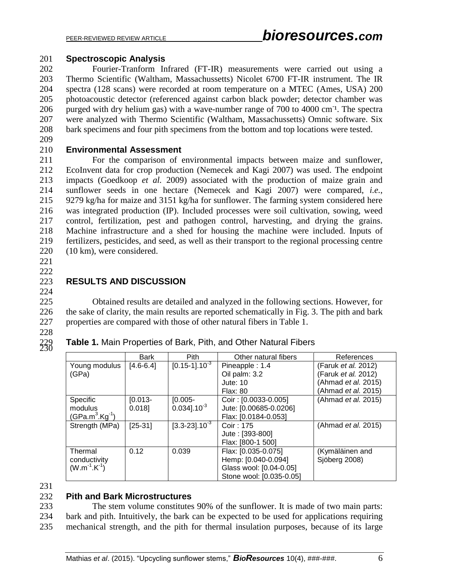#### 201 **Spectroscopic Analysis**

 Fourier-Tranform Infrared (FT-IR) measurements were carried out using a Thermo Scientific (Waltham, Massachussetts) Nicolet 6700 FT-IR instrument. The IR spectra (128 scans) were recorded at room temperature on a MTEC (Ames, USA) 200 photoacoustic detector (referenced against carbon black powder; detector chamber was 206 purged with dry helium gas) with a wave-number range of 700 to 4000 cm<sup>-1</sup>. The spectra were analyzed with Thermo Scientific (Waltham, Massachussetts) Omnic software. Six bark specimens and four pith specimens from the bottom and top locations were tested.

209

#### 210 **Environmental Assessment**

 For the comparison of environmental impacts between maize and sunflower, EcoInvent data for crop production (Nemecek and Kagi 2007) was used. The endpoint impacts (Goedkoop *et al.* 2009) associated with the production of maize grain and sunflower seeds in one hectare (Nemecek and Kagi 2007) were compared, *i.e.*, 9279 kg/ha for maize and 3151 kg/ha for sunflower. The farming system considered here was integrated production (IP). Included processes were soil cultivation, sowing, weed control, fertilization, pest and pathogen control, harvesting, and drying the grains. Machine infrastructure and a shed for housing the machine were included. Inputs of fertilizers, pesticides, and seed, as well as their transport to the regional processing centre (10 km), were considered.

221 222

#### 223 **RESULTS AND DISCUSSION** 224

225 Obtained results are detailed and analyzed in the following sections. However, for 226 the sake of clarity, the main results are reported schematically in Fig. 3. The pith and bark 227 properties are compared with those of other natural fibers in Table 1.

Table 1. Main Properties of Bark, Pith, and Other Natural Fibers

228

230

|                     | <b>Bark</b>   | Pith                           | Other natural fibers     | References                 |
|---------------------|---------------|--------------------------------|--------------------------|----------------------------|
| Young modulus       | $[4.6 - 6.4]$ | $[0.15 - 1]$ .10 <sup>-3</sup> | Pineapple: 1.4           | (Faruk et al. 2012)        |
| (GPa)               |               |                                | Oil palm: 3.2            | (Faruk et al. 2012)        |
|                     |               |                                | Jute: 10                 | (Ahmad et al. 2015)        |
|                     |               |                                | <b>Flax: 80</b>          | (Ahmad et al. 2015)        |
| Specific            | $[0.013 -$    | $[0.005 -$                     | Coir: [0.0033-0.005]     | (Ahmad et al. 2015)        |
| modulus             | 0.018         | $0.034$ ].10 <sup>-3</sup>     | Jute: [0.00685-0.0206]   |                            |
| $(GPa.m3.Kg-1)$     |               |                                | Flax: [0.0184-0.053]     |                            |
| Strength (MPa)      | $[25-31]$     | $[3.3 - 23] . 10^{-3}$         | Coir: 175                | (Ahmad <i>et al.</i> 2015) |
|                     |               |                                | Jute: [393-800]          |                            |
|                     |               |                                | Flax: [800-1 500]        |                            |
| Thermal             | 0.12          | 0.039                          | Flax: [0.035-0.075]      | (Kymäläinen and            |
| conductivity        |               |                                | Hemp: [0.040-0.094]      | Sjöberg 2008)              |
| $(W.m^{-1}.K^{-1})$ |               |                                | Glass wool: [0.04-0.05]  |                            |
|                     |               |                                | Stone wool: [0.035-0.05] |                            |

231

#### 232 **Pith and Bark Microstructures**

233 The stem volume constitutes 90% of the sunflower. It is made of two main parts: 234 bark and pith. Intuitively, the bark can be expected to be used for applications requiring 235 mechanical strength, and the pith for thermal insulation purposes, because of its large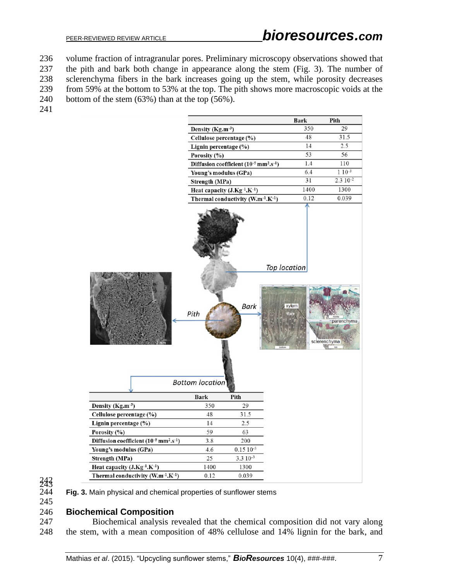volume fraction of intragranular pores. Preliminary microscopy observations showed that the pith and bark both change in appearance along the stem (Fig. 3). The number of sclerenchyma fibers in the bark increases going up the stem, while porosity decreases from 59% at the bottom to 53% at the top. The pith shows more macroscopic voids at the bottom of the stem (63%) than at the top (56%).



 $\frac{243}{244}$ 

Fig. 3. Main physical and chemical properties of sunflower stems

#### **Biochemical Composition**

 Biochemical analysis revealed that the chemical composition did not vary along the stem, with a mean composition of 48% cellulose and 14% lignin for the bark, and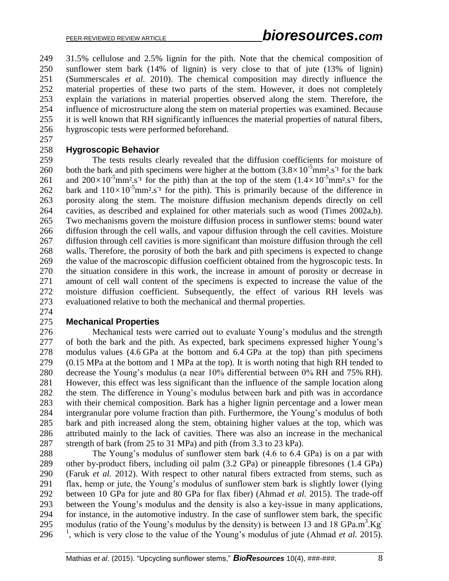31.5% cellulose and 2.5% lignin for the pith. Note that the chemical composition of sunflower stem bark (14% of lignin) is very close to that of jute (13% of lignin) (Summerscales *et al.* 2010). The chemical composition may directly influence the material properties of these two parts of the stem. However, it does not completely explain the variations in material properties observed along the stem. Therefore, the influence of microstructure along the stem on material properties was examined. Because it is well known that RH significantly influences the material properties of natural fibers, hygroscopic tests were performed beforehand.

#### **Hygroscopic Behavior**

 The tests results clearly revealed that the diffusion coefficients for moisture of 260 both the bark and pith specimens were higher at the bottom  $(3.8 \times 10^{-5} \text{mm}^2 \text{ s}^{-1}$  for the bark 261 and  $200 \times 10^{-5}$ mm<sup>2</sup>.s<sup>-1</sup> for the pith) than at the top of the stem  $(1.4 \times 10^{-5}$ mm<sup>2</sup>.s<sup>-1</sup> for the 262 bark and  $110 \times 10^{-5}$ mm<sup>2</sup>.s<sup>-1</sup> for the pith). This is primarily because of the difference in porosity along the stem. The moisture diffusion mechanism depends directly on cell cavities, as described and explained for other materials such as wood (Times 2002a,b). Two mechanisms govern the moisture diffusion process in sunflower stems: bound water diffusion through the cell walls, and vapour diffusion through the cell cavities. Moisture diffusion through cell cavities is more significant than moisture diffusion through the cell walls. Therefore, the porosity of both the bark and pith specimens is expected to change the value of the macroscopic diffusion coefficient obtained from the hygroscopic tests. In the situation considere in this work, the increase in amount of porosity or decrease in amount of cell wall content of the specimens is expected to increase the value of the moisture diffusion coefficient. Subsequently, the effect of various RH levels was evaluationed relative to both the mechanical and thermal properties.

#### **Mechanical Properties**

 Mechanical tests were carried out to evaluate Young's modulus and the strength of both the bark and the pith. As expected, bark specimens expressed higher Young's modulus values (4.6 GPa at the bottom and 6.4 GPa at the top) than pith specimens (0.15 MPa at the bottom and 1 MPa at the top). It is worth noting that high RH tended to decrease the Young's modulus (a near 10% differential between 0% RH and 75% RH). However, this effect was less significant than the influence of the sample location along the stem. The difference in Young's modulus between bark and pith was in accordance with their chemical composition. Bark has a higher lignin percentage and a lower mean intergranular pore volume fraction than pith. Furthermore, the Young's modulus of both bark and pith increased along the stem, obtaining higher values at the top, which was attributed mainly to the lack of cavities. There was also an increase in the mechanical strength of bark (from 25 to 31 MPa) and pith (from 3.3 to 23 kPa).

 The Young's modulus of sunflower stem bark (4.6 to 6.4 GPa) is on a par with other by-product fibers, including oil palm (3.2 GPa) or pineapple fibresones (1.4 GPa) (Faruk *et al.* 2012). With respect to other natural fibers extracted from stems, such as flax, hemp or jute, the Young's modulus of sunflower stem bark is slightly lower (lying between 10 GPa for jute and 80 GPa for flax fiber) (Ahmad *et al.* 2015). The trade-off between the Young's modulus and the density is also a key-issue in many applications, for instance, in the automotive industry. In the case of sunflower stem bark, the specific modulus (ratio of the Young's modulus by the density) is between 13 and 18  $GPa.m^3.Kg^ \frac{1}{2}$ , which is very close to the value of the Young's modulus of jute (Ahmad *et al.* 2015).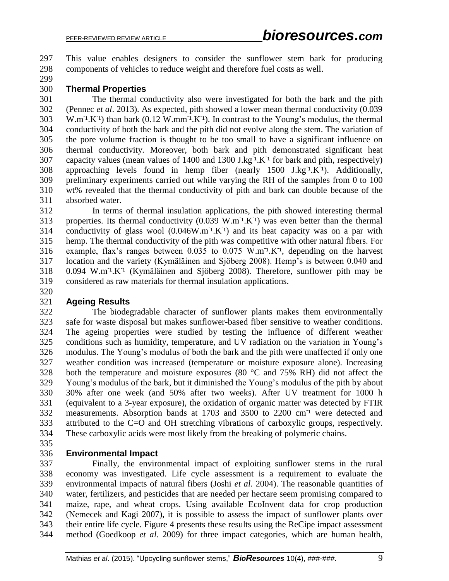This value enables designers to consider the sunflower stem bark for producing components of vehicles to reduce weight and therefore fuel costs as well.

#### **Thermal Properties**

 The thermal conductivity also were investigated for both the bark and the pith (Pennec *et al*. 2013). As expected, pith showed a lower mean thermal conductivity (0.039  $303 \text{ W.m}^{-1}$ .K<sup>-1</sup>) than bark (0.12 W.mm<sup>-1</sup>.K<sup>-1</sup>). In contrast to the Young's modulus, the thermal conductivity of both the bark and the pith did not evolve along the stem. The variation of the pore volume fraction is thought to be too small to have a significant influence on thermal conductivity. Moreover, both bark and pith demonstrated significant heat 307 capacity values (mean values of 1400 and 1300 J.kg<sup>-1</sup>.K<sup>-1</sup> for bark and pith, respectively) 308 approaching levels found in hemp fiber (nearly J.kg<sup>-1</sup>.K<sup>-1</sup>). Additionally, preliminary experiments carried out while varying the RH of the samples from 0 to 100 wt% revealed that the thermal conductivity of pith and bark can double because of the absorbed water.

 In terms of thermal insulation applications, the pith showed interesting thermal 313 properties. Its thermal conductivity  $(0.039 \text{ W.m}^{-1} \text{K}^{-1})$  was even better than the thermal 314 conductivity of glass wool  $(0.046W.m<sup>-1</sup>.K<sup>-1</sup>)$  and its heat capacity was on a par with hemp. The thermal conductivity of the pith was competitive with other natural fibers. For 316 example, flax's ranges between  $0.035$  to  $0.075$  W.m<sup>-1</sup>.K<sup>-1</sup>, depending on the harvest location and the variety (Kymäläinen and Sjöberg 2008). Hemp's is between 0.040 and  $0.094 \, \text{W.m}^{-1}$ .K<sup>-1</sup> (Kymäläinen and Sjöberg 2008). Therefore, sunflower pith may be considered as raw materials for thermal insulation applications.

#### **Ageing Results**

 The biodegradable character of sunflower plants makes them environmentally safe for waste disposal but makes sunflower-based fiber sensitive to weather conditions. The ageing properties were studied by testing the influence of different weather conditions such as humidity, temperature, and UV radiation on the variation in Young's modulus. The Young's modulus of both the bark and the pith were unaffected if only one weather condition was increased (temperature or moisture exposure alone). Increasing both the temperature and moisture exposures (80 °C and 75% RH) did not affect the Young's modulus of the bark, but it diminished the Young's modulus of the pith by about 30% after one week (and 50% after two weeks). After UV treatment for 1000 h (equivalent to a 3-year exposure), the oxidation of organic matter was detected by FTIR 332 measurements. Absorption bands at 1703 and 3500 to 2200 cm<sup>-1</sup> were detected and attributed to the C=O and OH stretching vibrations of carboxylic groups, respectively. These carboxylic acids were most likely from the breaking of polymeric chains.

#### **Environmental Impact**

 Finally, the environmental impact of exploiting sunflower stems in the rural economy was investigated. Life cycle assessment is a requirement to evaluate the environmental impacts of natural fibers (Joshi *et al.* 2004). The reasonable quantities of water, fertilizers, and pesticides that are needed per hectare seem promising compared to maize, rape, and wheat crops. Using available EcoInvent data for crop production (Nemecek and Kagi 2007), it is possible to assess the impact of sunflower plants over their entire life cycle. Figure 4 presents these results using the ReCipe impact assessment method (Goedkoop *et al.* 2009) for three impact categories, which are human health,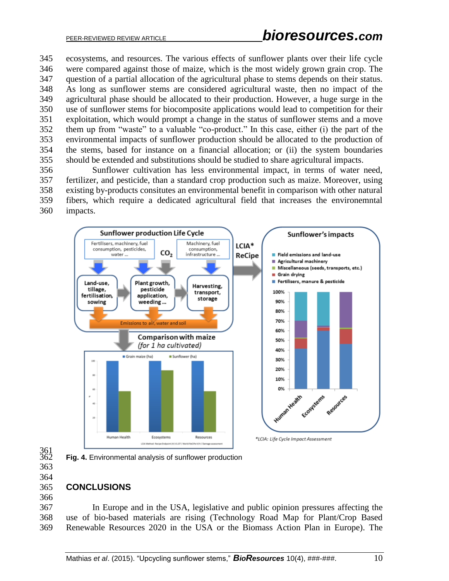ecosystems, and resources. The various effects of sunflower plants over their life cycle were compared against those of maize, which is the most widely grown grain crop. The question of a partial allocation of the agricultural phase to stems depends on their status. As long as sunflower stems are considered agricultural waste, then no impact of the agricultural phase should be allocated to their production. However, a huge surge in the use of sunflower stems for biocomposite applications would lead to competition for their exploitation, which would prompt a change in the status of sunflower stems and a move them up from "waste" to a valuable "co-product." In this case, either (i) the part of the environmental impacts of sunflower production should be allocated to the production of the stems, based for instance on a financial allocation; or (ii) the system boundaries should be extended and substitutions should be studied to share agricultural impacts.

 Sunflower cultivation has less environmental impact, in terms of water need, fertilizer, and pesticide, than a standard crop production such as maize. Moreover, using existing by-products consitutes an environmental benefit in comparison with other natural fibers, which require a dedicated agricultural field that increases the environemntal impacts.



- 361<br>362
- 

## **CONCLUSIONS**

 In Europe and in the USA, legislative and public opinion pressures affecting the use of bio-based materials are rising (Technology Road Map for Plant/Crop Based Renewable Resources 2020 in the USA or the Biomass Action Plan in Europe). The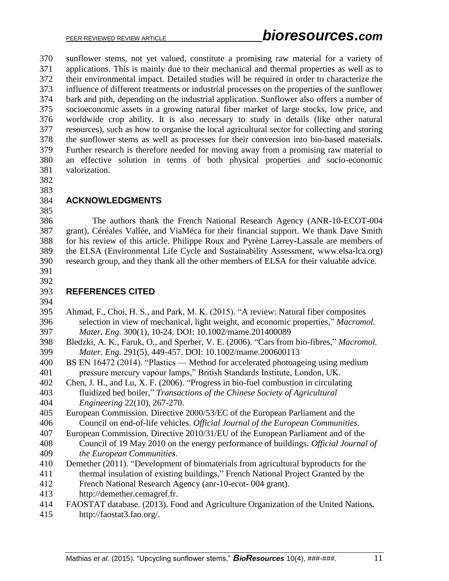sunflower stems, not yet valued, constitute a promising raw material for a variety of applications. This is mainly due to their mechanical and thermal properties as well as to their environmental impact. Detailed studies will be required in order to characterize the influence of different treatments or industrial processes on the properties of the sunflower bark and pith, depending on the industrial application. Sunflower also offers a number of socioeconomic assets in a growing natural fiber market of large stocks, low price, and worldwide crop ability. It is also necessary to study in details (like other natural resources), such as how to organise the local agricultural sector for collecting and storing the sunflower stems as well as processes for their conversion into bio-based materials. Further research is therefore needed for moving away from a promising raw material to an effective solution in terms of both physical properties and socio-economic valorization.

 

#### **ACKNOWLEDGMENTS**

 The authors thank the French National Research Agency (ANR-10-ECOT-004 grant), Céréales Vallée, and ViaMéca for their financial support. We thank Dave Smith for his review of this article. Philippe Roux and Pyrène Larrey-Lassale are members of the ELSA (Environmental Life Cycle and Sustainability Assessment, [www.elsa-lca.org\)](http://www.elsa-lca.org/) research group, and they thank all the other members of ELSA for their valuable advice.

 

#### **REFERENCES CITED**

| 395 | Ahmad, F., Choi, H. S., and Park, M. K. (2015). "A review: Natural fiber composites     |
|-----|-----------------------------------------------------------------------------------------|
| 396 | selection in view of mechanical, light weight, and economic properties," Macromol.      |
| 397 | <i>Mater. Eng.</i> 300(1), 10-24. DOI: 10.1002/mame.201400089                           |
| 398 | Bledzki, A. K., Faruk, O., and Sperber, V. E. (2006). "Cars from bio-fibres," Macromol. |
| 399 | <i>Mater. Eng.</i> 291(5), 449-457. DOI: 10.1002/mame.200600113                         |

 BS EN 16472 (2014). "Plastics — Method for accelerated photoageing using medium pressure mercury vapour lamps," British Standards Institute, London, UK.

Chen, J. H., and Lu, X. F. (2006). "Progress in bio-fuel combustion in circulating

- fluidized bed boiler," *Transactions of the Chinese Society of Agricultural Engineering* 22(10), 267-270.
- European Commission. Directive 2000/53/EC of the European Parliament and the Council on end-of-life vehicles. *Official Journal of the European Communities*.
- European Commission. Directive 2010/31/EU of the European Parliament and of the
- Council of 19 May 2010 on the energy performance of buildings. *Official Journal of the European Communities*.
- Demether (2011). "Development of biomaterials from agricultural byproducts for the thermal insulation of existing buildings," French National Project Granted by the
- French National Research Agency (anr-10-ecot- 004 grant).
- http://demether.cemagref.fr.
- FAOSTAT database. (2013). Food and Agriculture Organization of the United Nations.
- http://faostat3.fao.org/.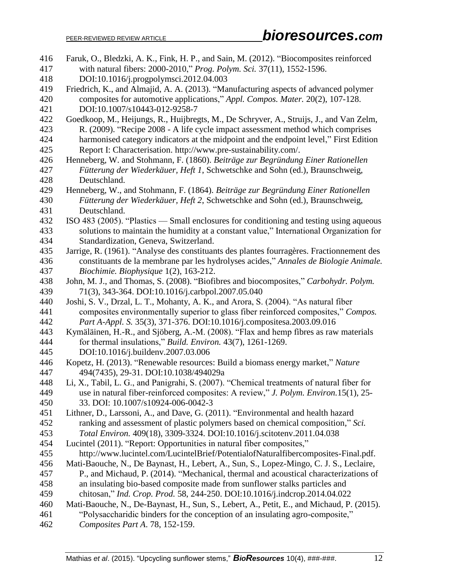| 416        | Faruk, O., Bledzki, A. K., Fink, H. P., and Sain, M. (2012). "Biocomposites reinforced                                                                              |
|------------|---------------------------------------------------------------------------------------------------------------------------------------------------------------------|
| 417        | with natural fibers: 2000-2010," Prog. Polym. Sci. 37(11), 1552-1596.                                                                                               |
| 418        | DOI:10.1016/j.progpolymsci.2012.04.003                                                                                                                              |
| 419        | Friedrich, K., and Almajid, A. A. (2013). "Manufacturing aspects of advanced polymer                                                                                |
| 420        | composites for automotive applications," Appl. Compos. Mater. 20(2), 107-128.                                                                                       |
| 421        | DOI:10.1007/s10443-012-9258-7                                                                                                                                       |
| 422        | Goedkoop, M., Heijungs, R., Huijbregts, M., De Schryver, A., Struijs, J., and Van Zelm,                                                                             |
| 423        | R. (2009). "Recipe 2008 - A life cycle impact assessment method which comprises                                                                                     |
| 424        | harmonised category indicators at the midpoint and the endpoint level," First Edition                                                                               |
| 425        | Report I: Characterisation. http://www.pre-sustainability.com/.                                                                                                     |
| 426        | Henneberg, W. and Stohmann, F. (1860). Beiträge zur Begründung Einer Rationellen                                                                                    |
| 427        | Fütterung der Wiederkäuer, Heft 1, Schwetschke and Sohn (ed.), Braunschweig,                                                                                        |
| 428        | Deutschland.                                                                                                                                                        |
| 429        | Henneberg, W., and Stohmann, F. (1864). Beiträge zur Begründung Einer Rationellen                                                                                   |
| 430        | Fütterung der Wiederkäuer, Heft 2, Schwetschke and Sohn (ed.), Braunschweig,                                                                                        |
| 431        | Deutschland.                                                                                                                                                        |
| 432        | ISO 483 (2005). "Plastics — Small enclosures for conditioning and testing using aqueous                                                                             |
| 433        | solutions to maintain the humidity at a constant value," International Organization for                                                                             |
| 434        | Standardization, Geneva, Switzerland.                                                                                                                               |
| 435        | Jarrige, R. (1961). "Analyse des constituants des plantes fourragères. Fractionnement des                                                                           |
| 436        | constituants de la membrane par les hydrolyses acides," Annales de Biologie Animale.                                                                                |
| 437        | Biochimie. Biophysique 1(2), 163-212.                                                                                                                               |
| 438        | John, M. J., and Thomas, S. (2008). "Biofibres and biocomposites," Carbohydr. Polym.                                                                                |
| 439        | 71(3), 343-364. DOI:10.1016/j.carbpol.2007.05.040                                                                                                                   |
| 440        | Joshi, S. V., Drzal, L. T., Mohanty, A. K., and Arora, S. (2004). "As natural fiber                                                                                 |
| 441        | composites environmentally superior to glass fiber reinforced composites," Compos.                                                                                  |
| 442        | Part A-Appl. S. 35(3), 371-376. DOI:10.1016/j.compositesa.2003.09.016                                                                                               |
| 443        | Kymäläinen, H.-R., and Sjöberg, A.-M. (2008). "Flax and hemp fibres as raw materials                                                                                |
| 444        | for thermal insulations," Build. Environ. 43(7), 1261-1269.                                                                                                         |
| 445        | DOI:10.1016/j.buildenv.2007.03.006                                                                                                                                  |
| 446        | Kopetz, H. (2013). "Renewable resources: Build a biomass energy market," Nature                                                                                     |
| 447        | 494(7435), 29-31. DOI:10.1038/494029a                                                                                                                               |
| 448        | Li, X., Tabil, L. G., and Panigrahi, S. (2007). "Chemical treatments of natural fiber for                                                                           |
| 449<br>450 | use in natural fiber-reinforced composites: A review," J. Polym. Environ.15(1), 25-<br>33. DOI: 10.1007/s10924-006-0042-3                                           |
| 451        |                                                                                                                                                                     |
| 452        | Lithner, D., Larssoni, A., and Dave, G. (2011). "Environmental and health hazard<br>ranking and assessment of plastic polymers based on chemical composition," Sci. |
| 453        | Total Environ. 409(18), 3309-3324. DOI:10.1016/j.scitotenv.2011.04.038                                                                                              |
| 454        | Lucintel (2011). "Report: Opportunities in natural fiber composites,"                                                                                               |
| 455        | http://www.lucintel.com/LucintelBrief/PotentialofNaturalfibercomposites-Final.pdf.                                                                                  |
| 456        | Mati-Baouche, N., De Baynast, H., Lebert, A., Sun, S., Lopez-Mingo, C. J. S., Leclaire,                                                                             |
| 457        | P., and Michaud, P. (2014). "Mechanical, thermal and acoustical characterizations of                                                                                |
| 458        | an insulating bio-based composite made from sunflower stalks particles and                                                                                          |
| 459        | chitosan," Ind. Crop. Prod. 58, 244-250. DOI:10.1016/j.indcrop.2014.04.022                                                                                          |
| 460        | Mati-Baouche, N., De-Baynast, H., Sun, S., Lebert, A., Petit, E., and Michaud, P. (2015).                                                                           |
| 461        | "Polysaccharidic binders for the conception of an insulating agro-composite,"                                                                                       |
| 462        | Composites Part A. 78, 152-159.                                                                                                                                     |